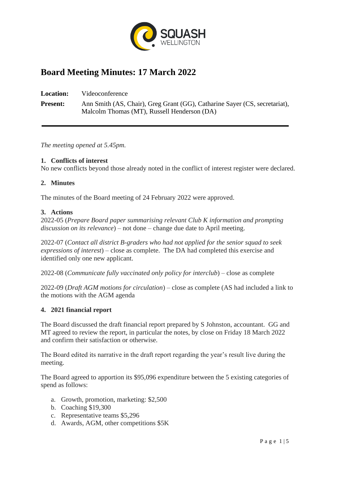

# **Board Meeting Minutes: 17 March 2022**

**Location:** Videoconference **Present:** Ann Smith (AS, Chair), Greg Grant (GG), Catharine Sayer (CS, secretariat), Malcolm Thomas (MT), Russell Henderson (DA)

*The meeting opened at 5.45pm.*

### **1. Conflicts of interest**

No new conflicts beyond those already noted in the conflict of interest register were declared.

### **2. Minutes**

The minutes of the Board meeting of 24 February 2022 were approved.

### **3. Actions**

2022-05 (*Prepare Board paper summarising relevant Club K information and prompting discussion on its relevance*) – not done – change due date to April meeting.

2022-07 (*Contact all district B-graders who had not applied for the senior squad to seek expressions of interest*) – close as complete. The DA had completed this exercise and identified only one new applicant.

2022-08 (*Communicate fully vaccinated only policy for interclub*) – close as complete

2022-09 (*Draft AGM motions for circulation*) – close as complete (AS had included a link to the motions with the AGM agenda

### **4. 2021 financial report**

The Board discussed the draft financial report prepared by S Johnston, accountant. GG and MT agreed to review the report, in particular the notes, by close on Friday 18 March 2022 and confirm their satisfaction or otherwise.

The Board edited its narrative in the draft report regarding the year's result live during the meeting.

The Board agreed to apportion its \$95,096 expenditure between the 5 existing categories of spend as follows:

- a. Growth, promotion, marketing: \$2,500
- b. Coaching \$19,300
- c. Representative teams \$5,296
- d. Awards, AGM, other competitions \$5K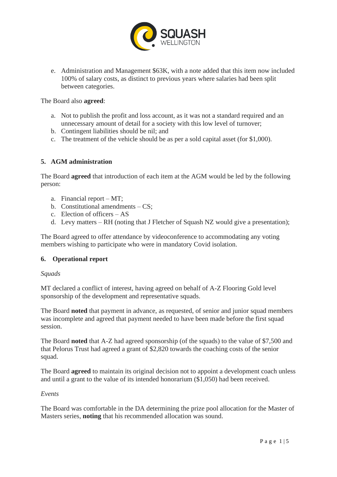

e. Administration and Management \$63K, with a note added that this item now included 100% of salary costs, as distinct to previous years where salaries had been split between categories.

The Board also **agreed**:

- a. Not to publish the profit and loss account, as it was not a standard required and an unnecessary amount of detail for a society with this low level of turnover;
- b. Contingent liabilities should be nil; and
- c. The treatment of the vehicle should be as per a sold capital asset (for \$1,000).

### **5. AGM administration**

The Board **agreed** that introduction of each item at the AGM would be led by the following person:

- a. Financial report MT;
- b. Constitutional amendments CS;
- c. Election of officers AS
- d. Levy matters RH (noting that J Fletcher of Squash NZ would give a presentation);

The Board agreed to offer attendance by videoconference to accommodating any voting members wishing to participate who were in mandatory Covid isolation.

### **6. Operational report**

### *Squads*

MT declared a conflict of interest, having agreed on behalf of A-Z Flooring Gold level sponsorship of the development and representative squads.

The Board **noted** that payment in advance, as requested, of senior and junior squad members was incomplete and agreed that payment needed to have been made before the first squad session.

The Board **noted** that A-Z had agreed sponsorship (of the squads) to the value of \$7,500 and that Pelorus Trust had agreed a grant of \$2,820 towards the coaching costs of the senior squad.

The Board **agreed** to maintain its original decision not to appoint a development coach unless and until a grant to the value of its intended honorarium (\$1,050) had been received.

#### *Events*

The Board was comfortable in the DA determining the prize pool allocation for the Master of Masters series, **noting** that his recommended allocation was sound.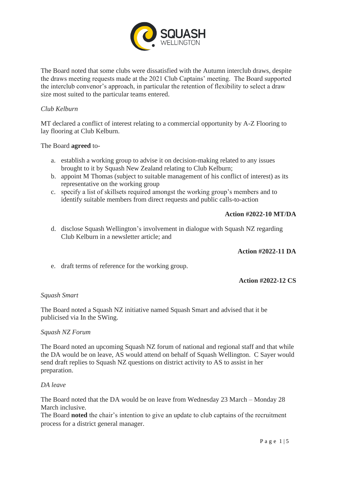

The Board noted that some clubs were dissatisfied with the Autumn interclub draws, despite the draws meeting requests made at the 2021 Club Captains' meeting. The Board supported the interclub convenor's approach, in particular the retention of flexibility to select a draw size most suited to the particular teams entered.

### *Club Kelburn*

MT declared a conflict of interest relating to a commercial opportunity by A-Z Flooring to lay flooring at Club Kelburn.

The Board **agreed** to-

- a. establish a working group to advise it on decision-making related to any issues brought to it by Squash New Zealand relating to Club Kelburn;
- b. appoint M Thomas (subject to suitable management of his conflict of interest) as its representative on the working group
- c. specify a list of skillsets required amongst the working group's members and to identify suitable members from direct requests and public calls-to-action

### **Action #2022-10 MT/DA**

d. disclose Squash Wellington's involvement in dialogue with Squash NZ regarding Club Kelburn in a newsletter article; and

#### **Action #2022-11 DA**

e. draft terms of reference for the working group.

#### **Action #2022-12 CS**

#### *Squash Smart*

The Board noted a Squash NZ initiative named Squash Smart and advised that it be publicised via In the SWing.

#### *Squash NZ Forum*

The Board noted an upcoming Squash NZ forum of national and regional staff and that while the DA would be on leave, AS would attend on behalf of Squash Wellington. C Sayer would send draft replies to Squash NZ questions on district activity to AS to assist in her preparation.

#### *DA leave*

The Board noted that the DA would be on leave from Wednesday 23 March – Monday 28 March inclusive.

The Board **noted** the chair's intention to give an update to club captains of the recruitment process for a district general manager.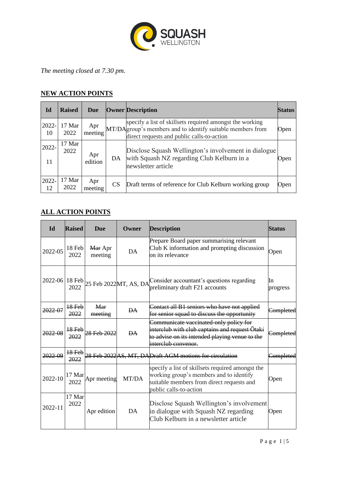

*The meeting closed at 7.30 pm.*

## **NEW ACTION POINTS**

| Id          | <b>Raised</b>  | Due            |           | <b>Owner Description</b>                                                                                                                                             | <b>Status</b> |
|-------------|----------------|----------------|-----------|----------------------------------------------------------------------------------------------------------------------------------------------------------------------|---------------|
| 2022-<br>10 | 17 Mar<br>2022 | Apr<br>meeting |           | specify a list of skillsets required amongst the working<br>MT/DAgroup's members and to identify suitable members from<br>direct requests and public calls-to-action | Open          |
| 2022-<br>11 | 17 Mar<br>2022 | Apr<br>edition | DA        | Disclose Squash Wellington's involvement in dialogue<br>with Squash NZ regarding Club Kelburn in a<br>newsletter article                                             | Open          |
| 2022-<br>12 | 17 Mar<br>2022 | Apr<br>meeting | <b>CS</b> | Draft terms of reference for Club Kelburn working group                                                                                                              | Open          |

# **ALL ACTION POINTS**

| <b>Id</b>   | <b>Raised</b>  | Due                | Owner     | <b>Description</b>                                                                                                                                                 | Status         |
|-------------|----------------|--------------------|-----------|--------------------------------------------------------------------------------------------------------------------------------------------------------------------|----------------|
| 2022-05     | 18 Feb<br>2022 | Mar Apr<br>meeting | DA        | Prepare Board paper summarising relevant<br>Club K information and prompting discussion<br>on its relevance                                                        | Open           |
|             | 2022           |                    |           | 2022-06 18 Feb $2022$ Feb 2022 MT, AS, DA consider accountant's questions regarding<br>preliminary draft F21 accounts                                              | In<br>progress |
| 2022-07     | 18 Feb<br>2022 | Mar<br>meeting     | <b>DA</b> | Contact all B1 seniors who have not applied<br>for senior squad to discuss the opportunity                                                                         | Completed      |
| 2022-08     | 18 Feb<br>2022 | 28 Feb 2022        | <b>DA</b> | Communicate vaccinated only policy for<br>interclub with club captains and request Ōtaki<br>to advise on its intended playing venue to the<br>interclub convenor.  | Completed      |
| 2022-09     | 18 Feb<br>2022 |                    |           | 28 Feb 2022 AS, MT, DADraft AGM motions for circulation                                                                                                            | Completed      |
| 2022-10     | 17 Mar<br>2022 | Apr meeting        | MT/DA     | specify a list of skillsets required amongst the<br>working group's members and to identify<br>suitable members from direct requests and<br>public calls-to-action | Open           |
| $2022 - 11$ | 17 Mar<br>2022 | Apr edition        | DA        | Disclose Squash Wellington's involvement<br>in dialogue with Squash NZ regarding<br>Club Kelburn in a newsletter article                                           | Open           |